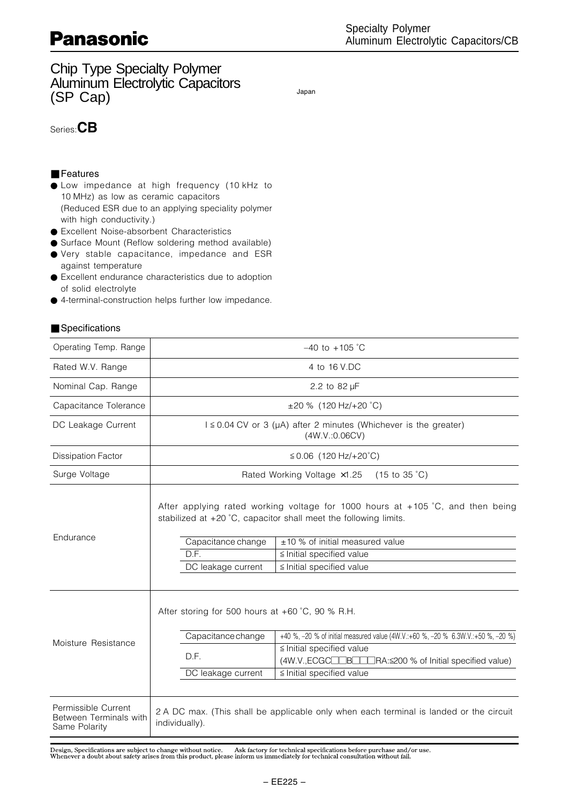Chip Type Specialty Polymer Aluminum Electrolytic Capacitors Summan Electron, the explanation of the state of the state of the state of the state of the state of the state of the state of the state of the state of the state of the state of the state of the state of the state of the

### Series:CB

#### ■ Features

- Low impedance at high frequency (10 kHz to 10 MHz) as low as ceramic capacitors (Reduced ESR due to an applying speciality polymer with high conductivity.)
- Excellent Noise-absorbent Characteristics
- Surface Mount (Reflow soldering method available) ● Very stable capacitance, impedance and ESR
- against temperature ● Excellent endurance characteristics due to adoption
- of solid electrolyte ● 4-terminal-construction helps further low impedance.

#### ■ Specifications

| Operating Temp. Range                                          | $-40$ to $+105$ °C                                                                                                                                                                                                                                                                                      |                                                                                                                                                |  |  |
|----------------------------------------------------------------|---------------------------------------------------------------------------------------------------------------------------------------------------------------------------------------------------------------------------------------------------------------------------------------------------------|------------------------------------------------------------------------------------------------------------------------------------------------|--|--|
| Rated W.V. Range                                               | 4 to 16 V.DC                                                                                                                                                                                                                                                                                            |                                                                                                                                                |  |  |
| Nominal Cap. Range                                             | 2.2 to 82 µF                                                                                                                                                                                                                                                                                            |                                                                                                                                                |  |  |
| Capacitance Tolerance                                          |                                                                                                                                                                                                                                                                                                         | $\pm 20$ % (120 Hz/+20 °C)                                                                                                                     |  |  |
| DC Leakage Current                                             | $1 \le 0.04$ CV or 3 ( $\mu$ A) after 2 minutes (Whichever is the greater)<br>(4W.V.:0.06CV)                                                                                                                                                                                                            |                                                                                                                                                |  |  |
| <b>Dissipation Factor</b>                                      | $≤ 0.06$ (120 Hz/+20°C)                                                                                                                                                                                                                                                                                 |                                                                                                                                                |  |  |
| Surge Voltage                                                  | Rated Working Voltage x1.25<br>$(15 \text{ to } 35 \text{ }^{\circ}\text{C})$                                                                                                                                                                                                                           |                                                                                                                                                |  |  |
| Endurance                                                      | After applying rated working voltage for 1000 hours at +105 °C, and then being<br>stabilized at +20 °C, capacitor shall meet the following limits.<br>Capacitance change<br>±10 % of initial measured value<br>D.F.<br>$\le$ Initial specified value<br>≦ Initial specified value<br>DC leakage current |                                                                                                                                                |  |  |
| Moisture Resistance                                            | After storing for 500 hours at $+60^{\circ}$ C, 90 % R.H.<br>Capacitance change<br>D.F.<br>DC leakage current                                                                                                                                                                                           | +40 %, -20 % of initial measured value (4W.V.:+60 %, -20 % 6.3W.V.:+50 %, -20 %)<br>$\le$ Initial specified value<br>≤ Initial specified value |  |  |
| Permissible Current<br>Between Terminals with<br>Same Polarity | individually).                                                                                                                                                                                                                                                                                          | 2 A DC max. (This shall be applicable only when each terminal is landed or the circuit                                                         |  |  |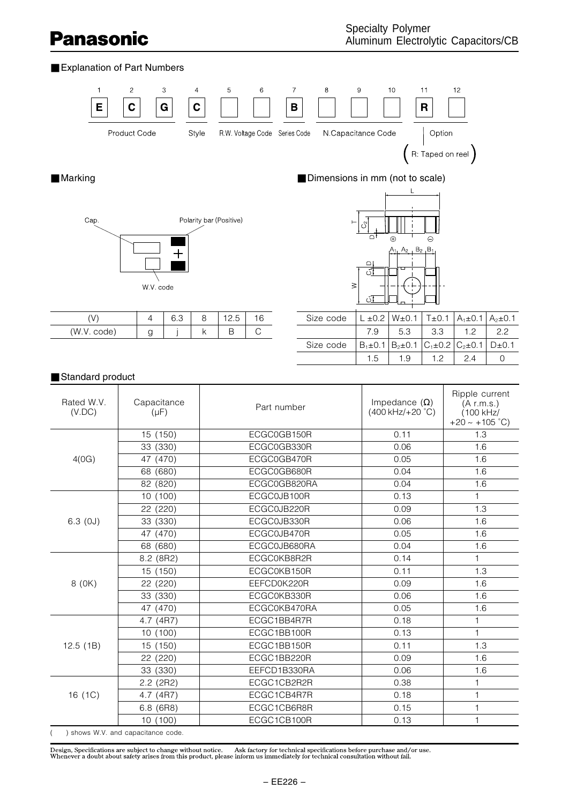### ■ Explanation of Part Numbers





|              | $\sqrt{2}$<br>$\sim$<br>∪.∪ |  |  |
|--------------|-----------------------------|--|--|
| code)<br>WV. |                             |  |  |

## ■ Marking ■ Marking ■ Dimensions in mm (not to scale)



| Size code |                                                              | _ ±0.2   W±0.1   T±0.1   A <sub>1</sub> ±0.1   A <sub>2</sub> ±0.1 |      |    |    |
|-----------|--------------------------------------------------------------|--------------------------------------------------------------------|------|----|----|
|           | 79                                                           | 53                                                                 | -3.3 | 12 | 22 |
| Size code | $ B_1 \pm 0.1 B_2 \pm 0.1 C_1 \pm 0.2 C_2 \pm 0.1 D \pm 0.1$ |                                                                    |      |    |    |
|           | 1.5                                                          | 19                                                                 | 1 2  | 24 |    |

#### ■ Standard product

| Rated W.V.<br>(V.DC)                      | Capacitance<br>$(\mu F)$ | Part number  | Impedance $(\Omega)$<br>(400 kHz/+20 °C) | Ripple current<br>(A r.m.s.)<br>$(100$ kHz $/$<br>$+20 \sim +105$ °C) |
|-------------------------------------------|--------------------------|--------------|------------------------------------------|-----------------------------------------------------------------------|
|                                           | 15 (150)                 | ECGC0GB150R  | 0.11                                     | 1.3                                                                   |
|                                           | 33 (330)                 | ECGC0GB330R  | 0.06                                     | 1.6                                                                   |
| 4(0G)                                     | 47 (470)                 | ECGC0GB470R  | 0.05                                     | 1.6                                                                   |
|                                           | 68 (680)                 | ECGC0GB680R  | 0.04                                     | 1.6                                                                   |
|                                           | 82 (820)                 | ECGC0GB820RA | 0.04                                     | 1.6                                                                   |
|                                           | 10(100)                  | ECGC0JB100R  | 0.13                                     | 1                                                                     |
|                                           | 22 (220)                 | ECGC0JB220R  | 0.09                                     | 1.3                                                                   |
| $6.3$ (0J)                                | 33 (330)                 | ECGC0JB330R  | 0.06                                     | 1.6                                                                   |
|                                           | 47 (470)                 | ECGC0JB470R  | 0.05                                     | 1.6                                                                   |
|                                           | 68 (680)                 | ECGC0JB680RA | 0.04                                     | 1.6                                                                   |
|                                           | 8.2 (8R2)                | ECGC0KB8R2R  | 0.14                                     | 1                                                                     |
|                                           | 15 (150)                 | ECGC0KB150R  | 0.11                                     | 1.3                                                                   |
| 8 (0K)                                    | 22 (220)                 | EEFCD0K220R  | 0.09                                     | 1.6                                                                   |
|                                           | 33 (330)                 | ECGC0KB330R  | 0.06                                     | 1.6                                                                   |
|                                           | 47 (470)                 | ECGC0KB470RA | 0.05                                     | 1.6                                                                   |
|                                           | 4.7 (4R7)                | ECGC1BB4R7R  | 0.18                                     | 1                                                                     |
|                                           | (100)<br>10              | ECGC1BB100R  | 0.13                                     | $\mathbf{1}$                                                          |
| 12.5(1B)                                  | 15<br>(150)              | ECGC1BB150R  | 0.11                                     | 1.3                                                                   |
|                                           | 22 (220)                 | ECGC1BB220R  | 0.09                                     | 1.6                                                                   |
|                                           | 33 (330)                 | EEFCD1B330RA | 0.06                                     | 1.6                                                                   |
|                                           | 2.2 (2R2)                | ECGC1CB2R2R  | 0.38                                     | 1                                                                     |
| 16 (1C)                                   | 4.7 (4R7)                | ECGC1CB4R7R  | 0.18                                     | 1                                                                     |
|                                           | $6.8$ ( $6R8$ )          | ECGC1CB6R8R  | 0.15                                     | 1                                                                     |
|                                           | 10(100)                  | ECGC1CB100R  | 0.13                                     | 1                                                                     |
| $($ $)$ chouse $M N$ and canceliance code |                          |              |                                          |                                                                       |

) shows W.V. and capacitance code.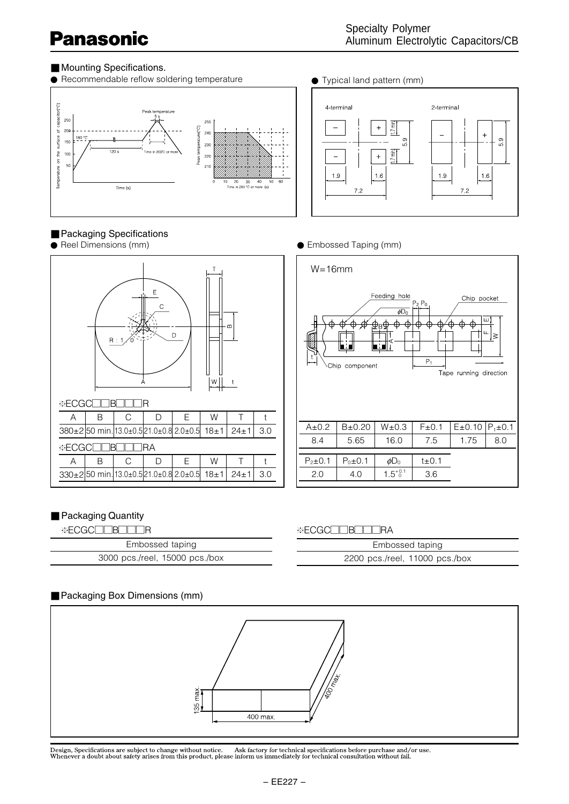### ■ Mounting Specifications.

■ Packaging Specifications<br>● Reel Dimensions (mm)

 $\overline{R}$ 





E C T

മ



#### ● Embossed Taping (mm)



#### ■ Packaging Quantity

**\*ECGC** BOORA

 $*$ ECGC $\Box$  **BOODR** 

| ∖∙∕F<br>Ш<br>$-1$ | ור<br>$-$<br>. . |
|-------------------|------------------|
|                   |                  |

| Embossed taping                |  |  |
|--------------------------------|--|--|
| 3000 pcs./reel, 15000 pcs./box |  |  |

A | B | C | D | E | W | T | t  $330\pm2$  50 min. 13.0 $\pm0.5$  21.0 $\pm0.8$  2.0 $\pm0.5$  18 $\pm1$  24 $\pm1$  3.0

A | B | C | D | E | W | T | t  $380\pm2$  50 min. 13.0±0.5 21.0±0.8 2.0±0.5 18 $\pm1$  24 $\pm1$  3.0

W A t

D

| -※ECGCIIBIIIRA                 |  |
|--------------------------------|--|
| Embossed taping                |  |
| 2200 pcs./reel, 11000 pcs./box |  |

### ■ Packaging Box Dimensions (mm)